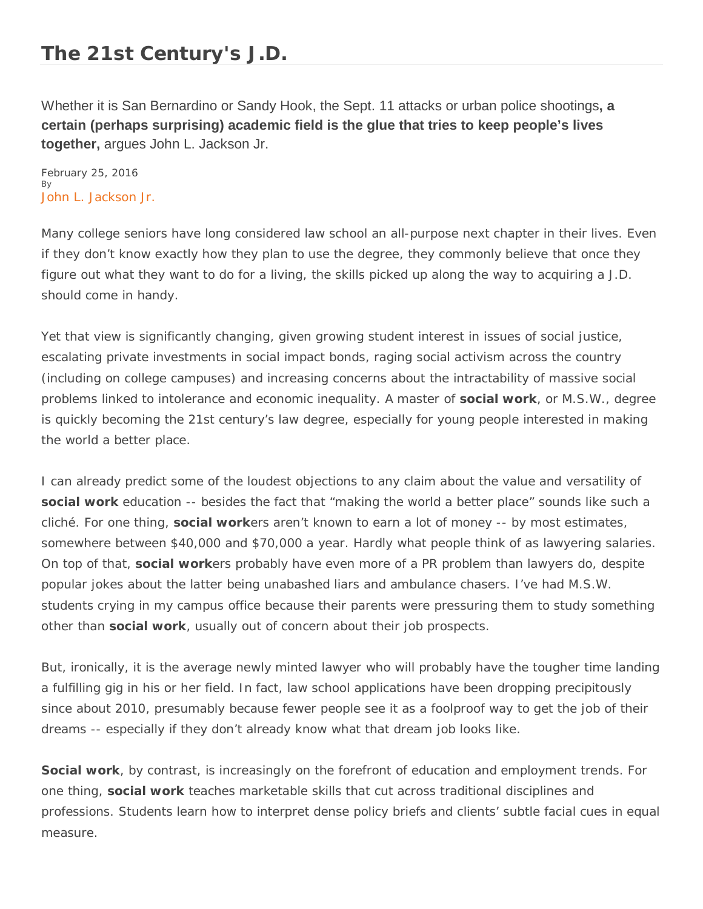## **The 21st Century's J.D.**

Whether it is San Bernardino or Sandy Hook, the Sept. 11 attacks or urban police shootings**, a certain (perhaps surprising) academic field is the glue that tries to keep people's lives together,** argues John L. Jackson Jr.

February 25, 2016 By [John L. Jackson Jr.](https://www.insidehighered.com/users/john-l-jackson-jr)

Many college seniors have long considered law school an all-purpose next chapter in their lives. Even if they don't know exactly how they plan to use the degree, they commonly believe that once they figure out what they want to do for a living, the skills picked up along the way to acquiring a J.D. should come in handy.

Yet that view is significantly changing, given growing student interest in issues of social justice, escalating private investments in social impact bonds, raging social activism across the country (including on college campuses) and increasing concerns about the intractability of massive social problems linked to intolerance and economic inequality. A master of **social work**, or M.S.W., degree is quickly becoming the 21st century's law degree, especially for young people interested in making the world a better place.

I can already predict some of the loudest objections to any claim about the value and versatility of **social work** education -- besides the fact that "making the world a better place" sounds like such a cliché. For one thing, **social work**ers aren't known to earn a lot of money -- by most estimates, somewhere between \$40,000 and \$70,000 a year. Hardly what people think of as lawyering salaries. On top of that, **social work**ers probably have even more of a PR problem than lawyers do, despite popular jokes about the latter being unabashed liars and ambulance chasers. I've had M.S.W. students crying in my campus office because their parents were pressuring them to study something other than **social work**, usually out of concern about their job prospects.

But, ironically, it is the average newly minted lawyer who will probably have the tougher time landing a fulfilling gig in his or her field. In fact, law school applications have been dropping precipitously since about 2010, presumably because fewer people see it as a foolproof way to get the job of their dreams -- especially if they don't already know what that dream job looks like.

**Social work**, by contrast, is increasingly on the forefront of education and employment trends. For one thing, **social work** teaches marketable skills that cut across traditional disciplines and professions. Students learn how to interpret dense policy briefs and clients' subtle facial cues in equal measure.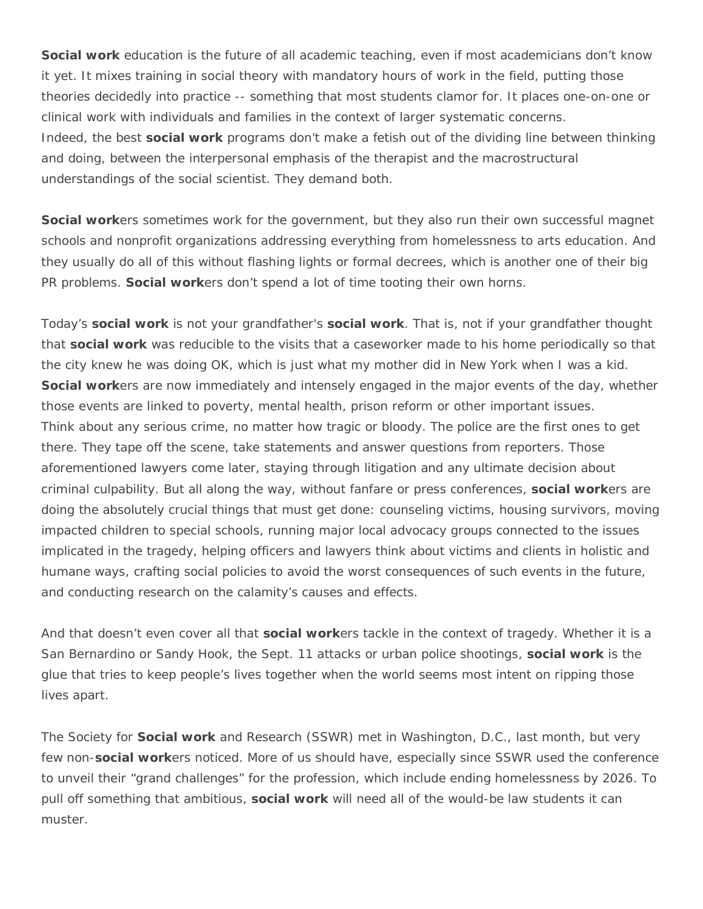**Social work** education is the future of all academic teaching, even if most academicians don't know it yet. It mixes training in social theory with mandatory hours of work in the field, putting those theories decidedly into practice -- something that most students clamor for. It places one-on-one or clinical work with individuals and families in the context of larger systematic concerns. Indeed, the best **social work** programs don't make a fetish out of the dividing line between thinking and doing, between the interpersonal emphasis of the therapist and the macrostructural understandings of the social scientist. They demand both.

**Social work**ers sometimes work for the government, but they also run their own successful magnet schools and nonprofit organizations addressing everything from homelessness to arts education. And they usually do all of this without flashing lights or formal decrees, which is another one of their big PR problems. **Social work**ers don't spend a lot of time tooting their own horns.

Today's **social work** is not your grandfather's **social work**. That is, not if your grandfather thought that **social work** was reducible to the visits that a caseworker made to his home periodically so that the city knew he was doing OK, which is just what my mother did in New York when I was a kid. **Social work**ers are now immediately and intensely engaged in the major events of the day, whether those events are linked to poverty, mental health, prison reform or other important issues. Think about any serious crime, no matter how tragic or bloody. The police are the first ones to get there. They tape off the scene, take statements and answer questions from reporters. Those aforementioned lawyers come later, staying through litigation and any ultimate decision about criminal culpability. But all along the way, without fanfare or press conferences, **social work**ers are doing the absolutely crucial things that must get done: counseling victims, housing survivors, moving impacted children to special schools, running major local advocacy groups connected to the issues implicated in the tragedy, helping officers and lawyers think about victims and clients in holistic and humane ways, crafting social policies to avoid the worst consequences of such events in the future, and conducting research on the calamity's causes and effects.

And that doesn't even cover all that **social work**ers tackle in the context of tragedy. Whether it is a San Bernardino or Sandy Hook, the Sept. 11 attacks or urban police shootings, **social work** is the glue that tries to keep people's lives together when the world seems most intent on ripping those lives apart.

The Society for **Social work** and Research (SSWR) met in Washington, D.C., last month, but very few non-**social work**ers noticed. More of us should have, especially since SSWR used the conference to unveil their "grand challenges" for the profession, which include ending homelessness by 2026. To pull off something that ambitious, **social work** will need all of the would-be law students it can muster.